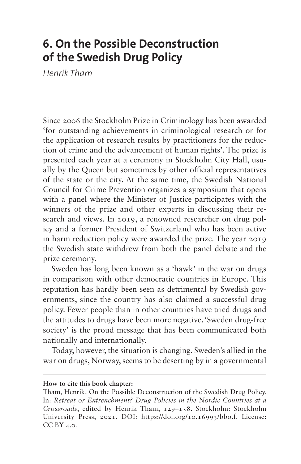# **6. On the Possible Deconstruction of the Swedish Drug Policy**

*Henrik Tham*

Since 2006 the Stockholm Prize in Criminology has been awarded 'for outstanding achievements in criminological research or for the application of research results by practitioners for the reduction of crime and the advancement of human rights'. The prize is presented each year at a ceremony in Stockholm City Hall, usually by the Queen but sometimes by other official representatives of the state or the city. At the same time, the Swedish National Council for Crime Prevention organizes a symposium that opens with a panel where the Minister of Justice participates with the winners of the prize and other experts in discussing their research and views. In 2019, a renowned researcher on drug policy and a former President of Switzerland who has been active in harm reduction policy were awarded the prize. The year 2019 the Swedish state withdrew from both the panel debate and the prize ceremony.

Sweden has long been known as a 'hawk' in the war on drugs in comparison with other democratic countries in Europe. This reputation has hardly been seen as detrimental by Swedish governments, since the country has also claimed a successful drug policy. Fewer people than in other countries have tried drugs and the attitudes to drugs have been more negative. 'Sweden drug-free society' is the proud message that has been communicated both nationally and internationally.

Today, however, the situation is changing. Sweden's allied in the war on drugs, Norway, seems to be deserting by in a governmental

#### **How to cite this book chapter:**

Tham, Henrik. On the Possible Deconstruction of the Swedish Drug Policy. In: *Retreat or Entrenchment? Drug Policies in the Nordic Countries at a Crossroads*, edited by Henrik Tham, 129–158. Stockholm: Stockholm University Press, 2021. DOI: <https://doi.org/10.16993/bbo.f>. License: CC BY 4.0.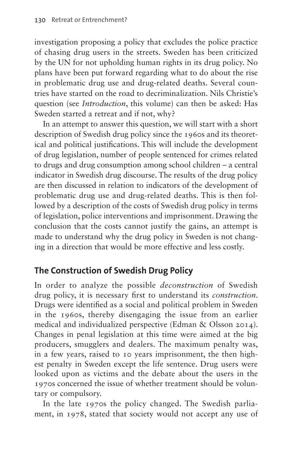investigation proposing a policy that excludes the police practice of chasing drug users in the streets. Sweden has been criticized by the UN for not upholding human rights in its drug policy. No plans have been put forward regarding what to do about the rise in problematic drug use and drug-related deaths. Several countries have started on the road to decriminalization. Nils Christie's question (see *Introduction*, this volume) can then be asked: Has Sweden started a retreat and if not, why?

In an attempt to answer this question, we will start with a short description of Swedish drug policy since the 1960s and its theoretical and political justifications. This will include the development of drug legislation, number of people sentenced for crimes related to drugs and drug consumption among school children – a central indicator in Swedish drug discourse. The results of the drug policy are then discussed in relation to indicators of the development of problematic drug use and drug-related deaths. This is then followed by a description of the costs of Swedish drug policy in terms of legislation, police interventions and imprisonment. Drawing the conclusion that the costs cannot justify the gains, an attempt is made to understand why the drug policy in Sweden is not changing in a direction that would be more effective and less costly.

# **The Construction of Swedish Drug Policy**

In order to analyze the possible *deconstruction* of Swedish drug policy, it is necessary first to understand its *construction*. Drugs were identified as a social and political problem in Sweden in the 1960s, thereby disengaging the issue from an earlier medical and individualized perspective (Edman & Olsson 2014). Changes in penal legislation at this time were aimed at the big producers, smugglers and dealers. The maximum penalty was, in a few years, raised to 10 years imprisonment, the then highest penalty in Sweden except the life sentence. Drug users were looked upon as victims and the debate about the users in the 1970s concerned the issue of whether treatment should be voluntary or compulsory.

In the late 1970s the policy changed. The Swedish parliament, in 1978, stated that society would not accept any use of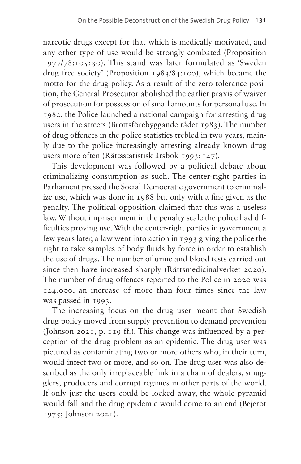narcotic drugs except for that which is medically motivated, and any other type of use would be strongly combated (Proposition 1977/78:105: 30). This stand was later formulated as 'Sweden drug free society' (Proposition 1983/84:100), which became the motto for the drug policy. As a result of the zero-tolerance position, the General Prosecutor abolished the earlier praxis of waiver of prosecution for possession of small amounts for personal use. In 1980, the Police launched a national campaign for arresting drug users in the streets (Brottsförebyggande rådet 1983). The number of drug offences in the police statistics trebled in two years, mainly due to the police increasingly arresting already known drug users more often (Rättsstatistisk årsbok 1993:147).

This development was followed by a political debate about criminalizing consumption as such. The center-right parties in Parliament pressed the Social Democratic government to criminalize use, which was done in 1988 but only with a fine given as the penalty. The political opposition claimed that this was a useless law. Without imprisonment in the penalty scale the police had difficulties proving use. With the center-right parties in government a few years later, a law went into action in 1993 giving the police the right to take samples of body fluids by force in order to establish the use of drugs. The number of urine and blood tests carried out since then have increased sharply (Rättsmedicinalverket 2020). The number of drug offences reported to the Police in 2020 was 124,000, an increase of more than four times since the law was passed in 1993.

The increasing focus on the drug user meant that Swedish drug policy moved from supply prevention to demand prevention (Johnson 2021, p. 119 ff.). This change was influenced by a perception of the drug problem as an epidemic. The drug user was pictured as contaminating two or more others who, in their turn, would infect two or more, and so on. The drug user was also described as the only irreplaceable link in a chain of dealers, smugglers, producers and corrupt regimes in other parts of the world. If only just the users could be locked away, the whole pyramid would fall and the drug epidemic would come to an end (Bejerot 1975; Johnson 2021).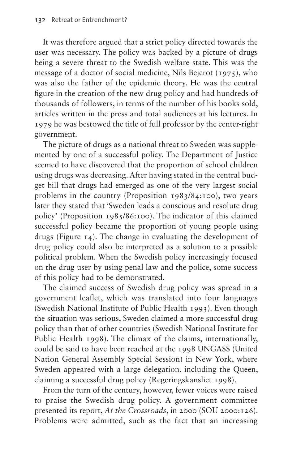It was therefore argued that a strict policy directed towards the user was necessary. The policy was backed by a picture of drugs being a severe threat to the Swedish welfare state. This was the message of a doctor of social medicine, Nils Bejerot (1975), who was also the father of the epidemic theory. He was the central figure in the creation of the new drug policy and had hundreds of thousands of followers, in terms of the number of his books sold, articles written in the press and total audiences at his lectures. In 1979 he was bestowed the title of full professor by the center-right government.

The picture of drugs as a national threat to Sweden was supplemented by one of a successful policy. The Department of Justice seemed to have discovered that the proportion of school children using drugs was decreasing. After having stated in the central budget bill that drugs had emerged as one of the very largest social problems in the country (Proposition 1983/84:100), two years later they stated that 'Sweden leads a conscious and resolute drug policy' (Proposition 1985/86:100). The indicator of this claimed successful policy became the proportion of young people using drugs ([Figure 14\)](#page-4-0). The change in evaluating the development of drug policy could also be interpreted as a solution to a possible political problem. When the Swedish policy increasingly focused on the drug user by using penal law and the police, some success of this policy had to be demonstrated.

The claimed success of Swedish drug policy was spread in a government leaflet, which was translated into four languages (Swedish National Institute of Public Health 1993). Even though the situation was serious, Sweden claimed a more successful drug policy than that of other countries (Swedish National Institute for Public Health 1998). The climax of the claims, internationally, could be said to have been reached at the 1998 UNGASS (United Nation General Assembly Special Session) in New York, where Sweden appeared with a large delegation, including the Queen, claiming a successful drug policy (Regeringskansliet 1998).

From the turn of the century, however, fewer voices were raised to praise the Swedish drug policy. A government committee presented its report, *At the Crossroads*, in 2000 (SOU 2000:126). Problems were admitted, such as the fact that an increasing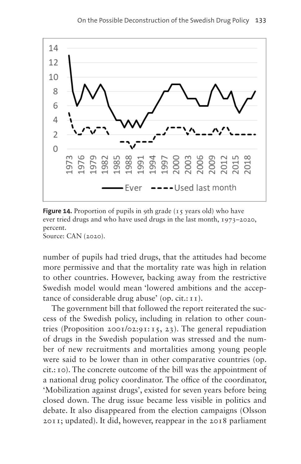

<span id="page-4-0"></span>**Figure 14.** Proportion of pupils in 9th grade (15 years old) who have ever tried drugs and who have used drugs in the last month, 1973–2020, percent.

Source: CAN (2020).

number of pupils had tried drugs, that the attitudes had become more permissive and that the mortality rate was high in relation to other countries. However, backing away from the restrictive Swedish model would mean 'lowered ambitions and the acceptance of considerable drug abuse' (op.  $cit.:11$ ).

The government bill that followed the report reiterated the success of the Swedish policy, including in relation to other countries (Proposition 2001/02:91: 15, 23). The general repudiation of drugs in the Swedish population was stressed and the number of new recruitments and mortalities among young people were said to be lower than in other comparative countries (op. cit.:10). The concrete outcome of the bill was the appointment of a national drug policy coordinator. The office of the coordinator, 'Mobilization against drugs', existed for seven years before being closed down. The drug issue became less visible in politics and debate. It also disappeared from the election campaigns (Olsson 2011; updated). It did, however, reappear in the 2018 parliament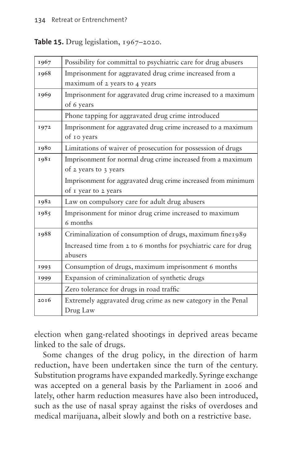#### <span id="page-5-0"></span>**Table 15.** Drug legislation, 1967–2020.

| 1967 | Possibility for committal to psychiatric care for drug abusers  |
|------|-----------------------------------------------------------------|
| 1968 | Imprisonment for aggravated drug crime increased from a         |
|      | maximum of 2 years to 4 years                                   |
| 1969 | Imprisonment for aggravated drug crime increased to a maximum   |
|      | of 6 years                                                      |
|      | Phone tapping for aggravated drug crime introduced              |
| 1972 | Imprisonment for aggravated drug crime increased to a maximum   |
|      | of 10 years                                                     |
| 1980 | Limitations of waiver of prosecution for possession of drugs    |
| 1981 | Imprisonment for normal drug crime increased from a maximum     |
|      | of 2 years to 3 years                                           |
|      | Imprisonment for aggravated drug crime increased from minimum   |
|      | of I year to 2 years                                            |
| 1982 | Law on compulsory care for adult drug abusers                   |
| 1985 | Imprisonment for minor drug crime increased to maximum          |
|      | 6 months                                                        |
| 1988 | Criminalization of consumption of drugs, maximum fine1989       |
|      | Increased time from 2 to 6 months for psychiatric care for drug |
|      | abusers                                                         |
| 1993 | Consumption of drugs, maximum imprisonment 6 months             |
| 1999 | Expansion of criminalization of synthetic drugs                 |
|      | Zero tolerance for drugs in road traffic                        |
| 2016 | Extremely aggravated drug crime as new category in the Penal    |
|      | Drug Law                                                        |

election when gang-related shootings in deprived areas became linked to the sale of drugs.

Some changes of the drug policy, in the direction of harm reduction, have been undertaken since the turn of the century. Substitution programs have expanded markedly. Syringe exchange was accepted on a general basis by the Parliament in 2006 and lately, other harm reduction measures have also been introduced, such as the use of nasal spray against the risks of overdoses and medical marijuana, albeit slowly and both on a restrictive base.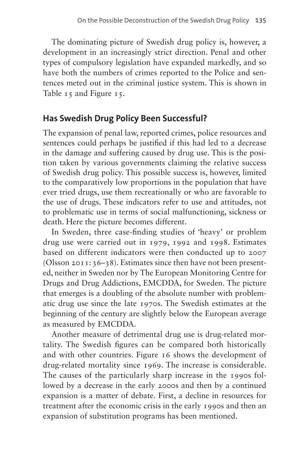The dominating picture of Swedish drug policy is, however, a development in an increasingly strict direction. Penal and other types of compulsory legislation have expanded markedly, and so have both the numbers of crimes reported to the Police and sentences meted out in the criminal justice system. This is shown in [Table 15](#page-5-0) and [Figure 15](#page-7-0).

# **Has Swedish Drug Policy Been Successful?**

The expansion of penal law, reported crimes, police resources and sentences could perhaps be justified if this had led to a decrease in the damage and suffering caused by drug use. This is the position taken by various governments claiming the relative success of Swedish drug policy. This possible success is, however, limited to the comparatively low proportions in the population that have ever tried drugs, use them recreationally or who are favorable to the use of drugs. These indicators refer to use and attitudes, not to problematic use in terms of social malfunctioning, sickness or death. Here the picture becomes different.

In Sweden, three case-finding studies of 'heavy' or problem drug use were carried out in 1979, 1992 and 1998. Estimates based on different indicators were then conducted up to 2007 (Olsson 2011:36–38). Estimates since then have not been presented, neither in Sweden nor by The European Monitoring Centre for Drugs and Drug Addictions, EMCDDA, for Sweden. The picture that emerges is a doubling of the absolute number with problematic drug use since the late 1970s. The Swedish estimates at the beginning of the century are slightly below the European average as measured by EMCDDA.

Another measure of detrimental drug use is drug-related mortality. The Swedish figures can be compared both historically and with other countries. [Figure 16](#page-7-1) shows the development of drug-related mortality since 1969. The increase is considerable. The causes of the particularly sharp increase in the 1990s followed by a decrease in the early 2000s and then by a continued expansion is a matter of debate. First, a decline in resources for treatment after the economic crisis in the early 1990s and then an expansion of substitution programs has been mentioned.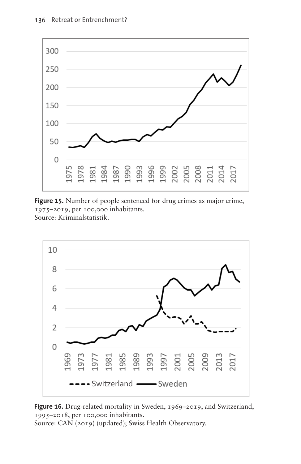

<span id="page-7-0"></span>**Figure 15.** Number of people sentenced for drug crimes as major crime, 1975–2019, per 100,000 inhabitants. Source: Kriminalstatistik.



<span id="page-7-1"></span>**Figure 16.** Drug-related mortality in Sweden, 1969–2019, and Switzerland, 1995–2018, per 100,000 inhabitants. Source: CAN (2019) (updated); Swiss Health Observatory.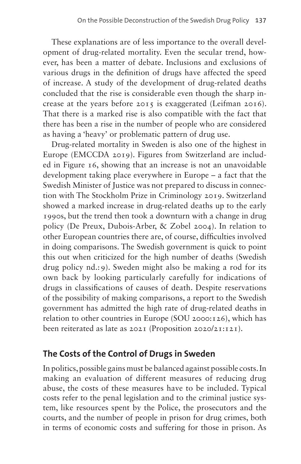These explanations are of less importance to the overall development of drug-related mortality. Even the secular trend, however, has been a matter of debate. Inclusions and exclusions of various drugs in the definition of drugs have affected the speed of increase. A study of the development of drug-related deaths concluded that the rise is considerable even though the sharp increase at the years before 2015 is exaggerated (Leifman 2016). That there is a marked rise is also compatible with the fact that there has been a rise in the number of people who are considered as having a 'heavy' or problematic pattern of drug use.

Drug-related mortality in Sweden is also one of the highest in Europe (EMCCDA 2019). Figures from Switzerland are included in [Figure 16](#page-7-1), showing that an increase is not an unavoidable development taking place everywhere in Europe – a fact that the Swedish Minister of Justice was not prepared to discuss in connection with The Stockholm Prize in Criminology 2019. Switzerland showed a marked increase in drug-related deaths up to the early 1990s, but the trend then took a downturn with a change in drug policy (De Preux, Dubois-Arber, & Zobel 2004). In relation to other European countries there are, of course, difficulties involved in doing comparisons. The Swedish government is quick to point this out when criticized for the high number of deaths (Swedish drug policy nd.:9). Sweden might also be making a rod for its own back by looking particularly carefully for indications of drugs in classifications of causes of death. Despite reservations of the possibility of making comparisons, a report to the Swedish government has admitted the high rate of drug-related deaths in relation to other countries in Europe (SOU 2000:126), which has been reiterated as late as 2021 (Proposition 2020/21:121).

# **The Costs of the Control of Drugs in Sweden**

In politics, possible gains must be balanced against possible costs. In making an evaluation of different measures of reducing drug abuse, the costs of these measures have to be included. Typical costs refer to the penal legislation and to the criminal justice system, like resources spent by the Police, the prosecutors and the courts, and the number of people in prison for drug crimes, both in terms of economic costs and suffering for those in prison. As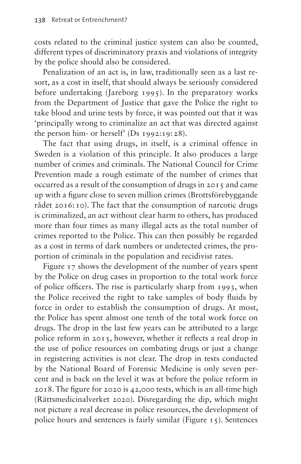costs related to the criminal justice system can also be counted, different types of discriminatory praxis and violations of integrity by the police should also be considered.

Penalization of an act is, in law, traditionally seen as a last resort, as a cost in itself, that should always be seriously considered before undertaking (Jareborg 1995). In the preparatory works from the Department of Justice that gave the Police the right to take blood and urine tests by force, it was pointed out that it was 'principally wrong to criminalize an act that was directed against the person him- or herself' (Ds 1992:19:28).

The fact that using drugs, in itself, is a criminal offence in Sweden is a violation of this principle. It also produces a large number of crimes and criminals. The National Council for Crime Prevention made a rough estimate of the number of crimes that occurred as a result of the consumption of drugs in 2015 and came up with a figure close to seven million crimes (Brottsförebyggande rådet 2016:10). The fact that the consumption of narcotic drugs is criminalized, an act without clear harm to others, has produced more than four times as many illegal acts as the total number of crimes reported to the Police. This can then possibly be regarded as a cost in terms of dark numbers or undetected crimes, the proportion of criminals in the population and recidivist rates.

[Figure 17](#page-10-0) shows the development of the number of years spent by the Police on drug cases in proportion to the total work force of police officers. The rise is particularly sharp from 1993, when the Police received the right to take samples of body fluids by force in order to establish the consumption of drugs. At most, the Police has spent almost one tenth of the total work force on drugs. The drop in the last few years can be attributed to a large police reform in 2015, however, whether it reflects a real drop in the use of police resources on combating drugs or just a change in registering activities is not clear. The drop in tests conducted by the National Board of Forensic Medicine is only seven percent and is back on the level it was at before the police reform in 2018. The figure for 2020 is 42,000 tests, which is an all-time high (Rättsmedicinalverket 2020). Disregarding the dip, which might not picture a real decrease in police resources, the development of police hours and sentences is fairly similar [\(Figure 15\)](#page-7-0). Sentences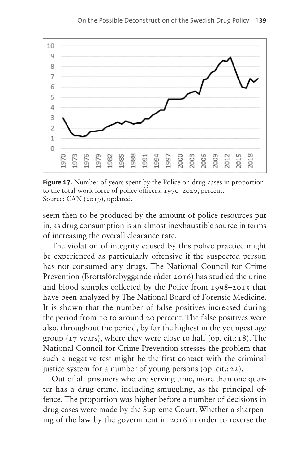

<span id="page-10-0"></span>Figure 17. Number of years spent by the Police on drug cases in proportion to the total work force of police officers, 1970–2020, percent. Source: CAN (2019), updated.

seem then to be produced by the amount of police resources put in, as drug consumption is an almost inexhaustible source in terms of increasing the overall clearance rate.

The violation of integrity caused by this police practice might be experienced as particularly offensive if the suspected person has not consumed any drugs. The National Council for Crime Prevention (Brottsförebyggande rådet 2016) has studied the urine and blood samples collected by the Police from 1998–2015 that have been analyzed by The National Board of Forensic Medicine. It is shown that the number of false positives increased during the period from 10 to around 20 percent. The false positives were also, throughout the period, by far the highest in the youngest age group ( $17$  years), where they were close to half (op.  $cit.:18$ ). The National Council for Crime Prevention stresses the problem that such a negative test might be the first contact with the criminal justice system for a number of young persons (op. cit.: 22).

Out of all prisoners who are serving time, more than one quarter has a drug crime, including smuggling, as the principal offence. The proportion was higher before a number of decisions in drug cases were made by the Supreme Court. Whether a sharpening of the law by the government in 2016 in order to reverse the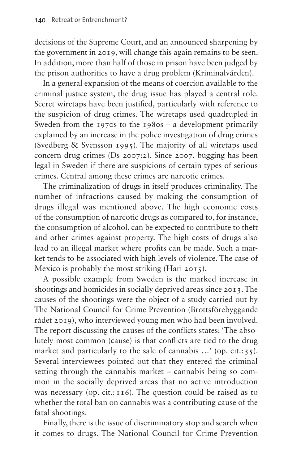decisions of the Supreme Court, and an announced sharpening by the government in 2019, will change this again remains to be seen. In addition, more than half of those in prison have been judged by the prison authorities to have a drug problem (Kriminalvården).

In a general expansion of the means of coercion available to the criminal justice system, the drug issue has played a central role. Secret wiretaps have been justified, particularly with reference to the suspicion of drug crimes. The wiretaps used quadrupled in Sweden from the 1970s to the 1980s – a development primarily explained by an increase in the police investigation of drug crimes (Svedberg & Svensson 1995). The majority of all wiretaps used concern drug crimes (Ds 2007:2). Since 2007, bugging has been legal in Sweden if there are suspicions of certain types of serious crimes. Central among these crimes are narcotic crimes.

The criminalization of drugs in itself produces criminality. The number of infractions caused by making the consumption of drugs illegal was mentioned above. The high economic costs of the consumption of narcotic drugs as compared to, for instance, the consumption of alcohol, can be expected to contribute to theft and other crimes against property. The high costs of drugs also lead to an illegal market where profits can be made. Such a market tends to be associated with high levels of violence. The case of Mexico is probably the most striking (Hari 2015).

A possible example from Sweden is the marked increase in shootings and homicides in socially deprived areas since 2013. The causes of the shootings were the object of a study carried out by The National Council for Crime Prevention (Brottsförebyggande rådet 2019), who interviewed young men who had been involved. The report discussing the causes of the conflicts states: 'The absolutely most common (cause) is that conflicts are tied to the drug market and particularly to the sale of cannabis ...' (op. cit.: 55). Several interviewees pointed out that they entered the criminal setting through the cannabis market – cannabis being so common in the socially deprived areas that no active introduction was necessary (op. cit.: 116). The question could be raised as to whether the total ban on cannabis was a contributing cause of the fatal shootings.

Finally, there is the issue of discriminatory stop and search when it comes to drugs. The National Council for Crime Prevention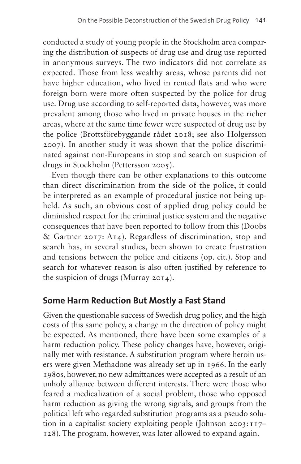conducted a study of young people in the Stockholm area comparing the distribution of suspects of drug use and drug use reported in anonymous surveys. The two indicators did not correlate as expected. Those from less wealthy areas, whose parents did not have higher education, who lived in rented flats and who were foreign born were more often suspected by the police for drug use. Drug use according to self-reported data, however, was more prevalent among those who lived in private houses in the richer areas, where at the same time fewer were suspected of drug use by the police (Brottsförebyggande rådet 2018; see also Holgersson 2007). In another study it was shown that the police discriminated against non-Europeans in stop and search on suspicion of drugs in Stockholm (Pettersson 2005).

Even though there can be other explanations to this outcome than direct discrimination from the side of the police, it could be interpreted as an example of procedural justice not being upheld. As such, an obvious cost of applied drug policy could be diminished respect for the criminal justice system and the negative consequences that have been reported to follow from this (Doobs & Gartner 2017: A14). Regardless of discrimination, stop and search has, in several studies, been shown to create frustration and tensions between the police and citizens (op. cit.). Stop and search for whatever reason is also often justified by reference to the suspicion of drugs (Murray 2014).

# **Some Harm Reduction But Mostly a Fast Stand**

Given the questionable success of Swedish drug policy, and the high costs of this same policy, a change in the direction of policy might be expected. As mentioned, there have been some examples of a harm reduction policy. These policy changes have, however, originally met with resistance. A substitution program where heroin users were given Methadone was already set up in 1966. In the early 1980s, however, no new admittances were accepted as a result of an unholy alliance between different interests. There were those who feared a medicalization of a social problem, those who opposed harm reduction as giving the wrong signals, and groups from the political left who regarded substitution programs as a pseudo solution in a capitalist society exploiting people (Johnson 2003:117– 128). The program, however, was later allowed to expand again.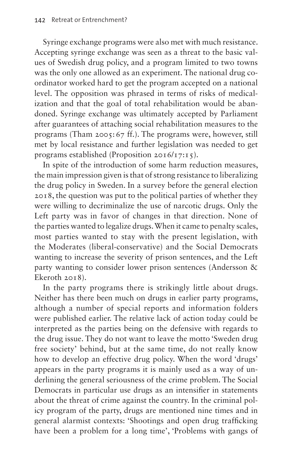Syringe exchange programs were also met with much resistance. Accepting syringe exchange was seen as a threat to the basic values of Swedish drug policy, and a program limited to two towns was the only one allowed as an experiment. The national drug coordinator worked hard to get the program accepted on a national level. The opposition was phrased in terms of risks of medicalization and that the goal of total rehabilitation would be abandoned. Syringe exchange was ultimately accepted by Parliament after guarantees of attaching social rehabilitation measures to the programs (Tham 2005:67 ff.). The programs were, however, still met by local resistance and further legislation was needed to get programs established (Proposition 2016/17:15).

In spite of the introduction of some harm reduction measures, the main impression given is that of strong resistance to liberalizing the drug policy in Sweden. In a survey before the general election 2018, the question was put to the political parties of whether they were willing to decriminalize the use of narcotic drugs. Only the Left party was in favor of changes in that direction. None of the parties wanted to legalize drugs. When it came to penalty scales, most parties wanted to stay with the present legislation, with the Moderates (liberal-conservative) and the Social Democrats wanting to increase the severity of prison sentences, and the Left party wanting to consider lower prison sentences (Andersson & Ekeroth 2018).

In the party programs there is strikingly little about drugs. Neither has there been much on drugs in earlier party programs, although a number of special reports and information folders were published earlier. The relative lack of action today could be interpreted as the parties being on the defensive with regards to the drug issue. They do not want to leave the motto 'Sweden drug free society' behind, but at the same time, do not really know how to develop an effective drug policy. When the word 'drugs' appears in the party programs it is mainly used as a way of underlining the general seriousness of the crime problem. The Social Democrats in particular use drugs as an intensifier in statements about the threat of crime against the country. In the criminal policy program of the party, drugs are mentioned nine times and in general alarmist contexts: 'Shootings and open drug trafficking have been a problem for a long time', 'Problems with gangs of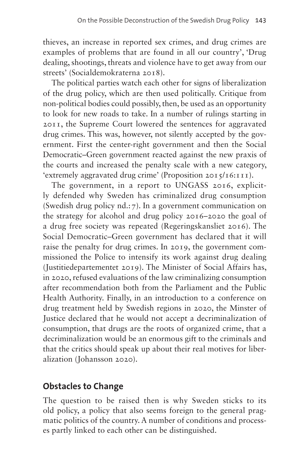thieves, an increase in reported sex crimes, and drug crimes are examples of problems that are found in all our country', 'Drug dealing, shootings, threats and violence have to get away from our streets' (Socialdemokraterna 2018).

The political parties watch each other for signs of liberalization of the drug policy, which are then used politically. Critique from non-political bodies could possibly, then, be used as an opportunity to look for new roads to take. In a number of rulings starting in 2011, the Supreme Court lowered the sentences for aggravated drug crimes. This was, however, not silently accepted by the government. First the center-right government and then the Social Democratic–Green government reacted against the new praxis of the courts and increased the penalty scale with a new category, 'extremely aggravated drug crime' (Proposition 2015/16:111).

The government, in a report to UNGASS 2016, explicitly defended why Sweden has criminalized drug consumption (Swedish drug policy nd.:7). In a government communication on the strategy for alcohol and drug policy 2016–2020 the goal of a drug free society was repeated (Regeringskansliet 2016). The Social Democratic–Green government has declared that it will raise the penalty for drug crimes. In 2019, the government commissioned the Police to intensify its work against drug dealing (Justitiedepartementet 2019). The Minister of Social Affairs has, in 2020, refused evaluations of the law criminalizing consumption after recommendation both from the Parliament and the Public Health Authority. Finally, in an introduction to a conference on drug treatment held by Swedish regions in 2020, the Minster of Justice declared that he would not accept a decriminalization of consumption, that drugs are the roots of organized crime, that a decriminalization would be an enormous gift to the criminals and that the critics should speak up about their real motives for liberalization (Johansson 2020).

# **Obstacles to Change**

The question to be raised then is why Sweden sticks to its old policy, a policy that also seems foreign to the general pragmatic politics of the country. A number of conditions and processes partly linked to each other can be distinguished.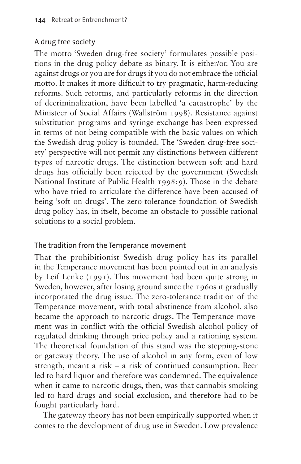### A drug free society

The motto 'Sweden drug-free society' formulates possible positions in the drug policy debate as binary. It is either/or. You are against drugs or you are for drugs if you do not embrace the official motto. It makes it more difficult to try pragmatic, harm-reducing reforms. Such reforms, and particularly reforms in the direction of decriminalization, have been labelled 'a catastrophe' by the Ministeer of Social Affairs (Wallström 1998). Resistance against substitution programs and syringe exchange has been expressed in terms of not being compatible with the basic values on which the Swedish drug policy is founded. The 'Sweden drug-free society' perspective will not permit any distinctions between different types of narcotic drugs. The distinction between soft and hard drugs has officially been rejected by the government (Swedish National Institute of Public Health 1998:9). Those in the debate who have tried to articulate the difference have been accused of being 'soft on drugs'. The zero-tolerance foundation of Swedish drug policy has, in itself, become an obstacle to possible rational solutions to a social problem.

#### The tradition from the Temperance movement

That the prohibitionist Swedish drug policy has its parallel in the Temperance movement has been pointed out in an analysis by Leif Lenke (1991). This movement had been quite strong in Sweden, however, after losing ground since the 1960s it gradually incorporated the drug issue. The zero-tolerance tradition of the Temperance movement, with total abstinence from alcohol, also became the approach to narcotic drugs. The Temperance movement was in conflict with the official Swedish alcohol policy of regulated drinking through price policy and a rationing system. The theoretical foundation of this stand was the stepping-stone or gateway theory. The use of alcohol in any form, even of low strength, meant a risk – a risk of continued consumption. Beer led to hard liquor and therefore was condemned. The equivalence when it came to narcotic drugs, then, was that cannabis smoking led to hard drugs and social exclusion, and therefore had to be fought particularly hard.

The gateway theory has not been empirically supported when it comes to the development of drug use in Sweden. Low prevalence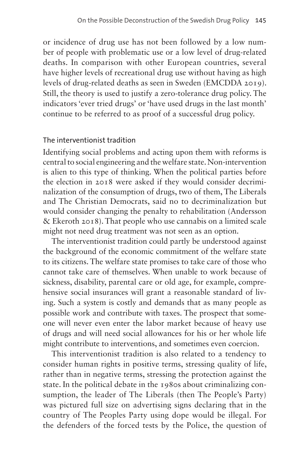or incidence of drug use has not been followed by a low number of people with problematic use or a low level of drug-related deaths. In comparison with other European countries, several have higher levels of recreational drug use without having as high levels of drug-related deaths as seen in Sweden (EMCDDA 2019). Still, the theory is used to justify a zero-tolerance drug policy. The indicators 'ever tried drugs' or 'have used drugs in the last month' continue to be referred to as proof of a successful drug policy.

#### The interventionist tradition

Identifying social problems and acting upon them with reforms is central to social engineering and the welfare state. Non-intervention is alien to this type of thinking. When the political parties before the election in 2018 were asked if they would consider decriminalization of the consumption of drugs, two of them, The Liberals and The Christian Democrats, said no to decriminalization but would consider changing the penalty to rehabilitation (Andersson & Ekeroth 2018). That people who use cannabis on a limited scale might not need drug treatment was not seen as an option.

The interventionist tradition could partly be understood against the background of the economic commitment of the welfare state to its citizens. The welfare state promises to take care of those who cannot take care of themselves. When unable to work because of sickness, disability, parental care or old age, for example, comprehensive social insurances will grant a reasonable standard of living. Such a system is costly and demands that as many people as possible work and contribute with taxes. The prospect that someone will never even enter the labor market because of heavy use of drugs and will need social allowances for his or her whole life might contribute to interventions, and sometimes even coercion.

This interventionist tradition is also related to a tendency to consider human rights in positive terms, stressing quality of life, rather than in negative terms, stressing the protection against the state. In the political debate in the 1980s about criminalizing consumption, the leader of The Liberals (then The People's Party) was pictured full size on advertising signs declaring that in the country of The Peoples Party using dope would be illegal. For the defenders of the forced tests by the Police, the question of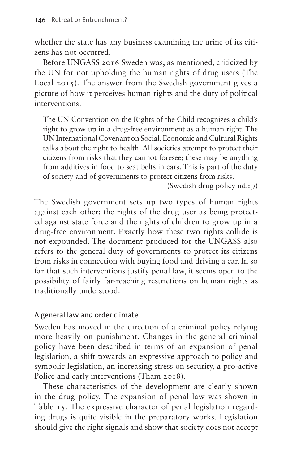whether the state has any business examining the urine of its citizens has not occurred.

Before UNGASS 2016 Sweden was, as mentioned, criticized by the UN for not upholding the human rights of drug users (The Local 2015). The answer from the Swedish government gives a picture of how it perceives human rights and the duty of political interventions.

The UN Convention on the Rights of the Child recognizes a child's right to grow up in a drug-free environment as a human right. The UN International Covenant on Social, Economic and Cultural Rights talks about the right to health. All societies attempt to protect their citizens from risks that they cannot foresee; these may be anything from additives in food to seat belts in cars. This is part of the duty of society and of governments to protect citizens from risks.

(Swedish drug policy nd.:9)

The Swedish government sets up two types of human rights against each other: the rights of the drug user as being protected against state force and the rights of children to grow up in a drug-free environment. Exactly how these two rights collide is not expounded. The document produced for the UNGASS also refers to the general duty of governments to protect its citizens from risks in connection with buying food and driving a car. In so far that such interventions justify penal law, it seems open to the possibility of fairly far-reaching restrictions on human rights as traditionally understood.

#### A general law and order climate

Sweden has moved in the direction of a criminal policy relying more heavily on punishment. Changes in the general criminal policy have been described in terms of an expansion of penal legislation, a shift towards an expressive approach to policy and symbolic legislation, an increasing stress on security, a pro-active Police and early interventions (Tham 2018).

These characteristics of the development are clearly shown in the drug policy. The expansion of penal law was shown in [Table 15.](#page-5-0) The expressive character of penal legislation regarding drugs is quite visible in the preparatory works. Legislation should give the right signals and show that society does not accept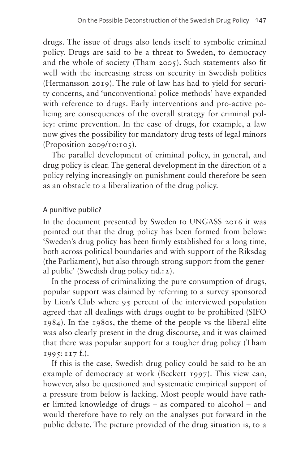drugs. The issue of drugs also lends itself to symbolic criminal policy. Drugs are said to be a threat to Sweden, to democracy and the whole of society (Tham 2005). Such statements also fit well with the increasing stress on security in Swedish politics (Hermansson 2019). The rule of law has had to yield for security concerns, and 'unconventional police methods' have expanded with reference to drugs. Early interventions and pro-active policing are consequences of the overall strategy for criminal policy: crime prevention. In the case of drugs, for example, a law now gives the possibility for mandatory drug tests of legal minors (Proposition 2009/10:105).

The parallel development of criminal policy, in general, and drug policy is clear. The general development in the direction of a policy relying increasingly on punishment could therefore be seen as an obstacle to a liberalization of the drug policy.

#### A punitive public?

In the document presented by Sweden to UNGASS 2016 it was pointed out that the drug policy has been formed from below: 'Sweden's drug policy has been firmly established for a long time, both across political boundaries and with support of the Riksdag (the Parliament), but also through strong support from the general public' (Swedish drug policy nd.:2).

In the process of criminalizing the pure consumption of drugs, popular support was claimed by referring to a survey sponsored by Lion's Club where 95 percent of the interviewed population agreed that all dealings with drugs ought to be prohibited (SIFO 1984). In the 1980s, the theme of the people vs the liberal elite was also clearly present in the drug discourse, and it was claimed that there was popular support for a tougher drug policy (Tham 1995:117 f.).

If this is the case, Swedish drug policy could be said to be an example of democracy at work (Beckett 1997). This view can, however, also be questioned and systematic empirical support of a pressure from below is lacking. Most people would have rather limited knowledge of drugs – as compared to alcohol – and would therefore have to rely on the analyses put forward in the public debate. The picture provided of the drug situation is, to a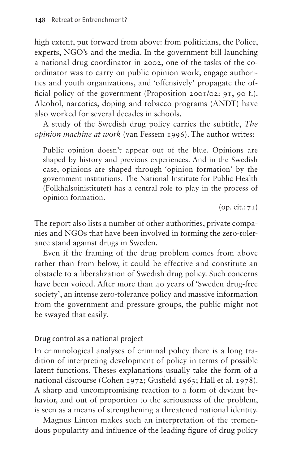high extent, put forward from above: from politicians, the Police, experts, NGO's and the media. In the government bill launching a national drug coordinator in 2002, one of the tasks of the coordinator was to carry on public opinion work, engage authorities and youth organizations, and 'offensively' propagate the official policy of the government (Proposition 2001/02: 91, 90 f.). Alcohol, narcotics, doping and tobacco programs (ANDT) have also worked for several decades in schools.

A study of the Swedish drug policy carries the subtitle, *The opinion machine at work* (van Fessem 1996). The author writes:

Public opinion doesn't appear out of the blue. Opinions are shaped by history and previous experiences. And in the Swedish case, opinions are shaped through 'opinion formation' by the government institutions. The National Institute for Public Health (Folkhälsoinistitutet) has a central role to play in the process of opinion formation.

 $(op. cit.:71)$ 

The report also lists a number of other authorities, private companies and NGOs that have been involved in forming the zero-tolerance stand against drugs in Sweden.

Even if the framing of the drug problem comes from above rather than from below, it could be effective and constitute an obstacle to a liberalization of Swedish drug policy. Such concerns have been voiced. After more than 40 years of 'Sweden drug-free society', an intense zero-tolerance policy and massive information from the government and pressure groups, the public might not be swayed that easily.

#### Drug control as a national project

In criminological analyses of criminal policy there is a long tradition of interpreting development of policy in terms of possible latent functions. Theses explanations usually take the form of a national discourse (Cohen 1972; Gusfield 1963; Hall et al. 1978). A sharp and uncompromising reaction to a form of deviant behavior, and out of proportion to the seriousness of the problem, is seen as a means of strengthening a threatened national identity.

Magnus Linton makes such an interpretation of the tremendous popularity and influence of the leading figure of drug policy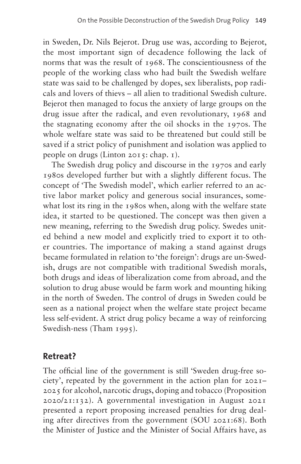in Sweden, Dr. Nils Bejerot. Drug use was, according to Bejerot, the most important sign of decadence following the lack of norms that was the result of 1968. The conscientiousness of the people of the working class who had built the Swedish welfare state was said to be challenged by dopes, sex liberalists, pop radicals and lovers of thievs – all alien to traditional Swedish culture. Bejerot then managed to focus the anxiety of large groups on the drug issue after the radical, and even revolutionary, 1968 and the stagnating economy after the oil shocks in the 1970s. The whole welfare state was said to be threatened but could still be saved if a strict policy of punishment and isolation was applied to people on drugs (Linton 2015: chap. 1).

The Swedish drug policy and discourse in the 1970s and early 1980s developed further but with a slightly different focus. The concept of 'The Swedish model', which earlier referred to an active labor market policy and generous social insurances, somewhat lost its ring in the 1980s when, along with the welfare state idea, it started to be questioned. The concept was then given a new meaning, referring to the Swedish drug policy. Swedes united behind a new model and explicitly tried to export it to other countries. The importance of making a stand against drugs became formulated in relation to 'the foreign': drugs are un-Swedish, drugs are not compatible with traditional Swedish morals, both drugs and ideas of liberalization come from abroad, and the solution to drug abuse would be farm work and mounting hiking in the north of Sweden. The control of drugs in Sweden could be seen as a national project when the welfare state project became less self-evident. A strict drug policy became a way of reinforcing Swedish-ness (Tham 1995).

# **Retreat?**

The official line of the government is still 'Sweden drug-free society', repeated by the government in the action plan for 2021– 2025 for alcohol, narcotic drugs, doping and tobacco (Proposition 2020/21:132). A governmental investigation in August 2021 presented a report proposing increased penalties for drug dealing after directives from the government (SOU 2021:68). Both the Minister of Justice and the Minister of Social Affairs have, as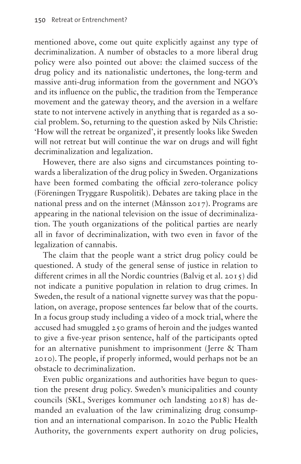mentioned above, come out quite explicitly against any type of decriminalization. A number of obstacles to a more liberal drug policy were also pointed out above: the claimed success of the drug policy and its nationalistic undertones, the long-term and massive anti-drug information from the government and NGO's and its influence on the public, the tradition from the Temperance movement and the gateway theory, and the aversion in a welfare state to not intervene actively in anything that is regarded as a social problem. So, returning to the question asked by Nils Christie: 'How will the retreat be organized', it presently looks like Sweden will not retreat but will continue the war on drugs and will fight decriminalization and legalization.

However, there are also signs and circumstances pointing towards a liberalization of the drug policy in Sweden. Organizations have been formed combating the official zero-tolerance policy (Föreningen Tryggare Ruspolitik). Debates are taking place in the national press and on the internet (Månsson 2017). Programs are appearing in the national television on the issue of decriminalization. The youth organizations of the political parties are nearly all in favor of decriminalization, with two even in favor of the legalization of cannabis.

The claim that the people want a strict drug policy could be questioned. A study of the general sense of justice in relation to different crimes in all the Nordic countries (Balvig et al. 2015) did not indicate a punitive population in relation to drug crimes. In Sweden, the result of a national vignette survey was that the population, on average, propose sentences far below that of the courts. In a focus group study including a video of a mock trial, where the accused had smuggled 250 grams of heroin and the judges wanted to give a five-year prison sentence, half of the participants opted for an alternative punishment to imprisonment (Jerre & Tham 2010). The people, if properly informed, would perhaps not be an obstacle to decriminalization.

Even public organizations and authorities have begun to question the present drug policy. Sweden's municipalities and county councils (SKL, Sveriges kommuner och landsting 2018) has demanded an evaluation of the law criminalizing drug consumption and an international comparison. In 2020 the Public Health Authority, the governments expert authority on drug policies,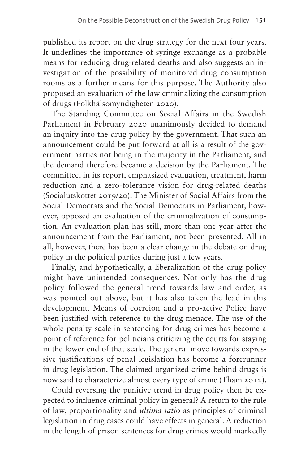published its report on the drug strategy for the next four years. It underlines the importance of syringe exchange as a probable means for reducing drug-related deaths and also suggests an investigation of the possibility of monitored drug consumption rooms as a further means for this purpose. The Authority also proposed an evaluation of the law criminalizing the consumption of drugs (Folkhälsomyndigheten 2020).

The Standing Committee on Social Affairs in the Swedish Parliament in February 2020 unanimously decided to demand an inquiry into the drug policy by the government. That such an announcement could be put forward at all is a result of the government parties not being in the majority in the Parliament, and the demand therefore became a decision by the Parliament. The committee, in its report, emphasized evaluation, treatment, harm reduction and a zero-tolerance vision for drug-related deaths (Socialutskottet 2019/20). The Minister of Social Affairs from the Social Democrats and the Social Democrats in Parliament, however, opposed an evaluation of the criminalization of consumption. An evaluation plan has still, more than one year after the announcement from the Parliament, not been presented. All in all, however, there has been a clear change in the debate on drug policy in the political parties during just a few years.

Finally, and hypothetically, a liberalization of the drug policy might have unintended consequences. Not only has the drug policy followed the general trend towards law and order, as was pointed out above, but it has also taken the lead in this development. Means of coercion and a pro-active Police have been justified with reference to the drug menace. The use of the whole penalty scale in sentencing for drug crimes has become a point of reference for politicians criticizing the courts for staying in the lower end of that scale. The general move towards expressive justifications of penal legislation has become a forerunner in drug legislation. The claimed organized crime behind drugs is now said to characterize almost every type of crime (Tham 2012).

Could reversing the punitive trend in drug policy then be expected to influence criminal policy in general? A return to the rule of law, proportionality and *ultima ratio* as principles of criminal legislation in drug cases could have effects in general. A reduction in the length of prison sentences for drug crimes would markedly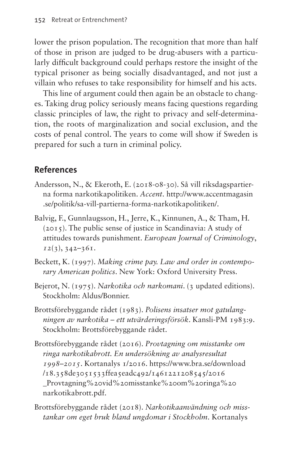lower the prison population. The recognition that more than half of those in prison are judged to be drug-abusers with a particularly difficult background could perhaps restore the insight of the typical prisoner as being socially disadvantaged, and not just a villain who refuses to take responsibility for himself and his acts.

This line of argument could then again be an obstacle to changes. Taking drug policy seriously means facing questions regarding classic principles of law, the right to privacy and self-determination, the roots of marginalization and social exclusion, and the costs of penal control. The years to come will show if Sweden is prepared for such a turn in criminal policy.

# **References**

- Andersson, N., & Ekeroth, E. (2018-08-30). Så vill riksdagspartierna forma narkotikapolitiken. *Accent*. [http://www.accentmagasin](http://www.accentmagasin.se/politik/sa-vill-partierna-forma-narkotikapolitiken/) [.se/politik/sa-vill-partierna-forma-narkotikapolitiken/](http://www.accentmagasin.se/politik/sa-vill-partierna-forma-narkotikapolitiken/).
- Balvig, F., Gunnlaugsson, H., Jerre, K., Kinnunen, A., & Tham, H. (2015). The public sense of justice in Scandinavia: A study of attitudes towards punishment. *European Journal of Criminology*, *12*(3), 342–361.
- Beckett, K. (1997). *Making crime pay. Law and order in contemporary American politics*. New York: Oxford University Press.
- Bejerot, N. (1975). *Narkotika och narkomani*. (3 updated editions). Stockholm: Aldus/Bonnier.
- Brottsförebyggande rådet (1983). *Polisens insatser mot gatulangningen av narkotika – ett utvärderingsförsök*. Kansli-PM 1983:9. Stockholm: Brottsförebyggande rådet.
- Brottsförebyggande rådet (2016). *Provtagning om misstanke om ringa narkotikabrott. En undersökning av analysresultat 1998–2015*. Kortanalys 1/2016. [https://www.bra.se/download](https://www.bra.se/download/18.358de3051533ffea5eadc492/1461221208545/2016_Provtagning%20vid%20misstanke%20om%20ringa%20narkotikabrott.pdf) [/18.358de3051533ffea5eadc492/1461221208545/2016](https://www.bra.se/download/18.358de3051533ffea5eadc492/1461221208545/2016_Provtagning%20vid%20misstanke%20om%20ringa%20narkotikabrott.pdf) [\\_Provtagning%20vid%20misstanke%20om%20ringa%20](https://www.bra.se/download/18.358de3051533ffea5eadc492/1461221208545/2016_Provtagning%20vid%20misstanke%20om%20ringa%20narkotikabrott.pdf) [narkotikabrott.pdf.](https://www.bra.se/download/18.358de3051533ffea5eadc492/1461221208545/2016_Provtagning%20vid%20misstanke%20om%20ringa%20narkotikabrott.pdf)
- Brottsförebyggande rådet (2018). *Narkotikaanvändning och misstankar om eget bruk bland ungdomar i Stockholm*. Kortanalys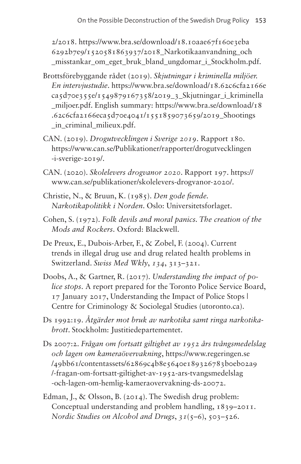2/2018. [https://www.bra.se/download/18.10aae67f160e3eba](https://www.bra.se/download/18.10aae67f160e3eba6292b7e9/1520581863937/2018_Narkotikaanvandning_och_misstankar_om_eget_bruk_bland_ungdomar_i_Stockholm.pdf) [6292b7e9/1520581863937/2018\\_Narkotikaanvandning\\_och](https://www.bra.se/download/18.10aae67f160e3eba6292b7e9/1520581863937/2018_Narkotikaanvandning_och_misstankar_om_eget_bruk_bland_ungdomar_i_Stockholm.pdf) misstankar om eget bruk bland ungdomar i Stockholm.pdf.

- Brottsförebyggande rådet (2019). *Skjutningar i kriminella miljöer. En intervjustudie*. [https://www.bra.se/download/18.62c6cfa2166e](https://www.bra.se/download/18.62c6cfa2166eca5d70e355e/1549879167358/2019_3_Skjutningar_i_kriminella_miljoer.pdf)  $ca5d70e355e/1549879167358/2019$  3 Skjutningar i kriminella [\\_miljoer.pdf.](https://www.bra.se/download/18.62c6cfa2166eca5d70e355e/1549879167358/2019_3_Skjutningar_i_kriminella_miljoer.pdf) English summary: [https://www.bra.se/download/18](https://www.bra.se/download/18.62c6cfa2166eca5d70e4041/1551859073659/2019_Shootings_in_criminal_milieux.pdf) [.62c6cfa2166eca5d70e4041/1551859073659/2019\\_Shootings](https://www.bra.se/download/18.62c6cfa2166eca5d70e4041/1551859073659/2019_Shootings_in_criminal_milieux.pdf) in criminal milieux.pdf.
- CAN. (2019). *Drogutvecklingen i Sverige 2019*. Rapport 180. [https://www.can.se/Publikationer/rapporter/drogutvecklingen](https://www.can.se/Publikationer/rapporter/drogutvecklingen-i-sverige-2019/) [-i-sverige-2019/](https://www.can.se/Publikationer/rapporter/drogutvecklingen-i-sverige-2019/).
- CAN. (2020). *Skolelevers drogvanor 2020*. Rapport 197. [https://](https://www.can.se/publikationer/skolelevers-drogvanor-2020/) [www.can.se/publikationer/skolelevers-drogvanor-2020/](https://www.can.se/publikationer/skolelevers-drogvanor-2020/).
- Christie, N., & Bruun, K. (1985). *Den gode fiende. Narkotikapolitikk i Norden*. Oslo: Universitetsforlaget.
- Cohen, S. (1972). *Folk devils and moral panics. The creation of the Mods and Rockers*. Oxford: Blackwell.
- De Preux, E., Dubois-Arber, F., & Zobel, F. (2004). Current trends in illegal drug use and drug related health problems in Switzerland. *Swiss Med Wkly*, *134*, 313–321.
- Doobs, A., & Gartner, R. (2017). *Understanding the impact of police stops*. A report prepared for the Toronto Police Service Board, 17 January 2017, Understanding the Impact of Police Stops | Centre for Criminology & Sociolegal Studies [\(utoronto.ca](http://utoronto.ca)).
- Ds 1992:19. *Åtgärder mot bruk av narkotika samt ringa narkotikabrott*. Stockholm: Justitiedepartementet.
- Ds 2007:2. *Frågan om fortsatt giltighet av 1952 års tvångsmedelslag och lagen om kameraövervakning*, [https://www.regeringen.se](https://www.regeringen.se/49bb61/contentassets/62869c4b8e5640e189326783b0eb02a9/-fragan-om-fortsatt-giltighet-av-1952-ars-tvangsmedelslag-och-lagen-om-hemlig-kameraovervakning-ds-20072) [/49bb61/contentassets/62869c4b8e5640e189326783b0eb02a9](https://www.regeringen.se/49bb61/contentassets/62869c4b8e5640e189326783b0eb02a9/-fragan-om-fortsatt-giltighet-av-1952-ars-tvangsmedelslag-och-lagen-om-hemlig-kameraovervakning-ds-20072) [/-fragan-om-fortsatt-giltighet-av-1952-ars-tvangsmedelslag](https://www.regeringen.se/49bb61/contentassets/62869c4b8e5640e189326783b0eb02a9/-fragan-om-fortsatt-giltighet-av-1952-ars-tvangsmedelslag-och-lagen-om-hemlig-kameraovervakning-ds-20072) [-och-lagen-om-hemlig-kameraovervakning-ds-20072](https://www.regeringen.se/49bb61/contentassets/62869c4b8e5640e189326783b0eb02a9/-fragan-om-fortsatt-giltighet-av-1952-ars-tvangsmedelslag-och-lagen-om-hemlig-kameraovervakning-ds-20072).
- Edman, J., & Olsson, B. (2014). The Swedish drug problem: Conceptual understanding and problem handling, 1839–2011. *Nordic Studies on Alcohol and Drugs*, *31*(5–6), 503–526.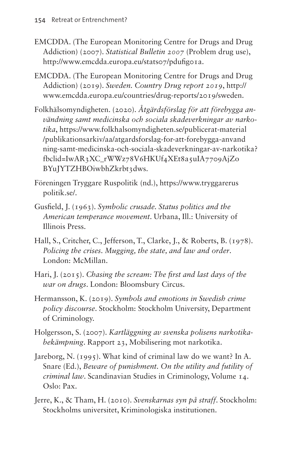- EMCDDA. (The European Monitoring Centre for Drugs and Drug Addiction) (2007). *Statistical Bulletin 2007* (Problem drug use), <http://www.emcdda.europa.eu/stats07/pdufig01a>.
- EMCDDA. (The European Monitoring Centre for Drugs and Drug Addiction) (2019). *Sweden. Country Drug report 2019*, [http://](http://www.emcdda.europa.eu/countries/drug-reports/2019/sweden) [www.emcdda.europa.eu/countries/drug-reports/2019/sweden](http://www.emcdda.europa.eu/countries/drug-reports/2019/sweden).
- Folkhälsomyndigheten. (2020). *Åtgärdsförslag för att förebygga användning samt medicinska och sociala skadeverkningar av narkotika*, [https://www.folkhalsomyndigheten.se/publicerat-material](https://www.folkhalsomyndigheten.se/publicerat-material/publikationsarkiv/aa/atgardsforslag-for-att-forebygga-anvandning-samt-medicinska-och-sociala-skadeverkningar-av-narkotika?fbclid=IwAR3XC_rWWz78V6HKUf4XEt8a5uIA7709AjZoBYuJYTZHBOiwbhZkrbt3dws) [/publikationsarkiv/aa/atgardsforslag-for-att-forebygga-anvand](https://www.folkhalsomyndigheten.se/publicerat-material/publikationsarkiv/aa/atgardsforslag-for-att-forebygga-anvandning-samt-medicinska-och-sociala-skadeverkningar-av-narkotika?fbclid=IwAR3XC_rWWz78V6HKUf4XEt8a5uIA7709AjZoBYuJYTZHBOiwbhZkrbt3dws) [ning-samt-medicinska-och-sociala-skadeverkningar-av-narkotika?](https://www.folkhalsomyndigheten.se/publicerat-material/publikationsarkiv/aa/atgardsforslag-for-att-forebygga-anvandning-samt-medicinska-och-sociala-skadeverkningar-av-narkotika?fbclid=IwAR3XC_rWWz78V6HKUf4XEt8a5uIA7709AjZoBYuJYTZHBOiwbhZkrbt3dws) [fbclid=IwAR3XC\\_rWWz78V6HKUf4XEt8a5uIA7709AjZo](https://www.folkhalsomyndigheten.se/publicerat-material/publikationsarkiv/aa/atgardsforslag-for-att-forebygga-anvandning-samt-medicinska-och-sociala-skadeverkningar-av-narkotika?fbclid=IwAR3XC_rWWz78V6HKUf4XEt8a5uIA7709AjZoBYuJYTZHBOiwbhZkrbt3dws) [BYuJYTZHBOiwbhZkrbt3dws.](https://www.folkhalsomyndigheten.se/publicerat-material/publikationsarkiv/aa/atgardsforslag-for-att-forebygga-anvandning-samt-medicinska-och-sociala-skadeverkningar-av-narkotika?fbclid=IwAR3XC_rWWz78V6HKUf4XEt8a5uIA7709AjZoBYuJYTZHBOiwbhZkrbt3dws)
- Föreningen Tryggare Ruspolitik (nd.), [https://www.tryggarerus](https://www.tryggareruspolitik.se/) [politik.se/.](https://www.tryggareruspolitik.se/)
- Gusfield, J. (1963). *Symbolic crusade. Status politics and the American temperance movement*. Urbana, Ill.: University of Illinois Press.
- Hall, S., Critcher, C., Jefferson, T., Clarke, J., & Roberts, B. (1978). *Policing the crises. Mugging, the state, and law and order*. London: McMillan.
- Hari, J. (2015). *Chasing the scream: The first and last days of the war on drugs*. London: Bloomsbury Circus.
- Hermansson, K. (2019). *Symbols and emotions in Swedish crime policy discourse*. Stockholm: Stockholm University, Department of Criminology.
- Holgersson, S. (2007). *Kartläggning av svenska polisens narkotikabekämpning*. Rapport 23, Mobilisering mot narkotika.
- Jareborg, N.  $(1995)$ . What kind of criminal law do we want? In A. Snare (Ed.), *Beware of punishment. On the utility and futility of criminal law*. Scandinavian Studies in Criminology, Volume 14. Oslo: Pax.
- Jerre, K., & Tham, H. (2010). *Svenskarnas syn på straff*. Stockholm: Stockholms universitet, Kriminologiska institutionen.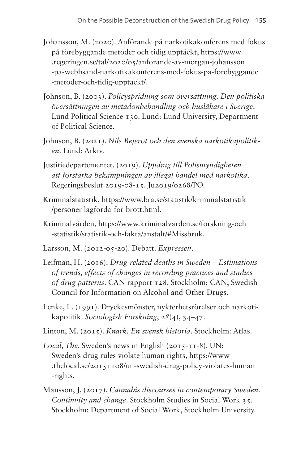- Johansson, M. (2020). Anförande på narkotikakonferens med fokus på förebyggande metoder och tidig upptäckt, [https://www](https://www.regeringen.se/tal/2020/05/anforande-av-morgan-johansson-pa-webbsand-narkotikakonferens-med-fokus-pa-forebyggande-metoder-och-tidig-upptackt/) [.regeringen.se/tal/2020/05/anforande-av-morgan-johansson](https://www.regeringen.se/tal/2020/05/anforande-av-morgan-johansson-pa-webbsand-narkotikakonferens-med-fokus-pa-forebyggande-metoder-och-tidig-upptackt/) [-pa-webbsand-narkotikakonferens-med-fokus-pa-forebyggande](https://www.regeringen.se/tal/2020/05/anforande-av-morgan-johansson-pa-webbsand-narkotikakonferens-med-fokus-pa-forebyggande-metoder-och-tidig-upptackt/) [-metoder-och-tidig-upptackt/](https://www.regeringen.se/tal/2020/05/anforande-av-morgan-johansson-pa-webbsand-narkotikakonferens-med-fokus-pa-forebyggande-metoder-och-tidig-upptackt/).
- Johnson, B. (2003). *Policyspridning som översättning. Den politiska översättningen av metadonbehandling och husläkare i Sverige*. Lund Political Science 130. Lund: Lund University, Department of Political Science.
- Johnson, B. (2021). *Nils Bejerot och den svenska narkotikapolitiken*. Lund: Arkiv.
- Justitiedepartementet. (2019). *Uppdrag till Polismyndigheten att förstärka bekämpningen av illegal handel med narkotika*. Regeringsbeslut 2019-08-15. Ju2019/0268/PO.
- Kriminalstatistik, [https://www.bra.se/statistik/kriminalstatistik](https://www.bra.se/statistik/kriminalstatistik/personer-lagforda-for-brott.html) [/personer-lagforda-for-brott.html](https://www.bra.se/statistik/kriminalstatistik/personer-lagforda-for-brott.html).
- Kriminalvården, [https://www.kriminalvarden.se/forskning-och](https://www.kriminalvarden.se/forskning-och-statistik/statistik-och-fakta/anstalt/#Missbruk) [-statistik/statistik-och-fakta/anstalt/#Missbruk.](https://www.kriminalvarden.se/forskning-och-statistik/statistik-och-fakta/anstalt/#Missbruk)
- Larsson, M. (2012-05-20). Debatt. *Expressen*.
- Leifman, H. (2016). *Drug-related deaths in Sweden Estimations of trends, effects of changes in recording practices and studies of drug patterns*. CAN rapport 128. Stockholm: CAN, Swedish Council for Information on Alcohol and Other Drugs.
- Lenke, L. (1991). Dryckesmönster, nykterhetsrörelser och narkotikapolitik. *Sociologisk Forskning*, *28*(4), 34–47.
- Linton, M. (2015). *Knark. En svensk historia*. Stockholm: Atlas.
- *Local, The*. Sweden's news in English (2015-11-8). UN: Sweden's drug rules violate human rights, [https://www](https://www.thelocal.se/20151108/un-swedish-drug-policy-violates-human-rights) [.thelocal.se/20151108/un-swedish-drug-policy-violates-human](https://www.thelocal.se/20151108/un-swedish-drug-policy-violates-human-rights) [-rights.](https://www.thelocal.se/20151108/un-swedish-drug-policy-violates-human-rights)
- Månsson, J. (2017). *Cannabis discourses in contemporary Sweden. Continuity and change*. Stockholm Studies in Social Work 35. Stockholm: Department of Social Work, Stockholm University.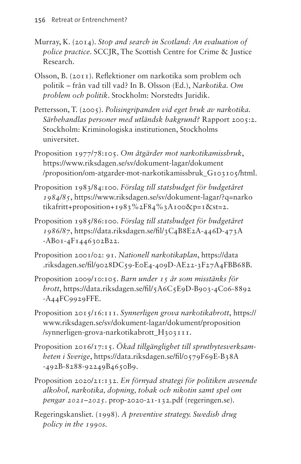- Murray, K. (2014). *Stop and search in Scotland: An evaluation of police practice*. SCCJR, The Scottish Centre for Crime & Justice Research.
- Olsson, B. (2011). Reflektioner om narkotika som problem och politik – från vad till vad? In B. Olsson (Ed.), *Narkotika. Om problem och politik*. Stockholm: Norstedts Juridik.
- Pettersson, T. (2005). *Polisingripanden vid eget bruk av narkotika. Särbehandlas personer med utländsk bakgrund?* Rapport 2005:2. Stockholm: Kriminologiska institutionen, Stockholms universitet.
- Proposition 1977/78:105. *Om åtgärder mot narkotikamissbruk*, [https://www.riksdagen.se/sv/dokument-lagar/dokument](https://www.riksdagen.se/sv/dokument-lagar/dokument/proposition/om-atgarder-mot-narkotikamissbruk_G103105/html) [/proposition/om-atgarder-mot-narkotikamissbruk\\_G103105/html.](https://www.riksdagen.se/sv/dokument-lagar/dokument/proposition/om-atgarder-mot-narkotikamissbruk_G103105/html)
- Proposition 1983/84:100. *Förslag till statsbudget för budgetåret 1984/85*, [https://www.riksdagen.se/sv/dokument-lagar/?q=narko](https://www.riksdagen.se/sv/dokument-lagar/?q=narkotikafritt+proposition+1983%2F84%3A100&p=1&st=2) [tikafritt+proposition+1983%2F84%3A100&p=1&st=2](https://www.riksdagen.se/sv/dokument-lagar/?q=narkotikafritt+proposition+1983%2F84%3A100&p=1&st=2).
- Proposition 1985/86:100. *Förslag till statsbudget för budgetåret 1986/87*, [https://data.riksdagen.se/fil/3C4B8E2A-446D-473A](https://data.riksdagen.se/fil/3C4B8E2A-446D-473A-AB01-4F1446302B22) [-AB01-4F1446302B22](https://data.riksdagen.se/fil/3C4B8E2A-446D-473A-AB01-4F1446302B22).
- Proposition 2001/02: 91. *Nationell narkotikaplan*, [https://data](https://data.riksdagen.se/fil/9028DC59-E0E4-409D-AE22-3F27A4FBB68B) [.riksdagen.se/fil/9028DC59-E0E4-409D-AE22-3F27A4FBB68B](https://data.riksdagen.se/fil/9028DC59-E0E4-409D-AE22-3F27A4FBB68B).
- Proposition 2009/10:105. *Barn under 15 år som misstänks för brott*, [https://data.riksdagen.se/fil/5A6C5E9D-B903-4C06-8892](https://data.riksdagen.se/fil/5A6C5E9D-B903-4C06-8892-A44FC9929FFE) [-A44FC9929FFE.](https://data.riksdagen.se/fil/5A6C5E9D-B903-4C06-8892-A44FC9929FFE)
- Proposition 2015/16:111. *Synnerligen grova narkotikabrott*, [https://](https://www.riksdagen.se/sv/dokument-lagar/dokument/proposition/synnerligen-grova-narkotikabrott_H303111) [www.riksdagen.se/sv/dokument-lagar/dokument/proposition](https://www.riksdagen.se/sv/dokument-lagar/dokument/proposition/synnerligen-grova-narkotikabrott_H303111) [/synnerligen-grova-narkotikabrott\\_H303111](https://www.riksdagen.se/sv/dokument-lagar/dokument/proposition/synnerligen-grova-narkotikabrott_H303111).
- Proposition 2016/17:15. *Ökad tillgänglighet till sprutbytesverksamheten i Sverige*, [https://data.riksdagen.se/fil/0579F69E-B38A](https://data.riksdagen.se/fil/0579F69E-B38A-492B-8288-92249B4650B9) [-492B-8288-92249B4650B9.](https://data.riksdagen.se/fil/0579F69E-B38A-492B-8288-92249B4650B9)
- Proposition 2020/21:132. *En förnyad strategi för politiken avseende alkohol, narkotika, dopning, tobak och nikotin samt spel om pengar 2021–2025*. prop-2020-21-132.pdf [\(regeringen.se\)](http://regeringen.se).
- Regeringskansliet. (1998). *A preventive strategy. Swedish drug policy in the 1990s.*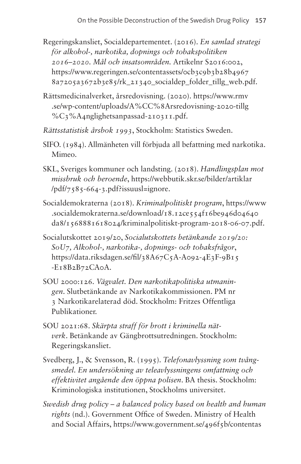- Regeringskansliet, Socialdepartementet. (2016). *En samlad strategi för alkohol-, narkotika, dopnings och tobakspolitiken 2016–2020. Mål och insatsområden.* Artikelnr S2016:002, https://www.regeringen.se/contentassets/ocb3c9b3b28b4967 [8a7205a3672b3e85/rk\\_21340\\_socialdep\\_folder\\_tillg\\_web.pdf](https://www.regeringen.se/contentassets/0cb3c9b3b28b49678a7205a3672b3e85/rk_21340_socialdep_folder_tillg_web.pdf).
- Rättsmedicinalverket, årsredovisning. (2020). [https://www.rmv](https://www.rmv.se/wp-content/uploads/A%CC%8Arsredovisning-2020-tillg%C3%A4nglighetsanpassad-210311.pdf) [.se/wp-content/uploads/A%CC%8Arsredovisning-2020-tillg](https://www.rmv.se/wp-content/uploads/A%CC%8Arsredovisning-2020-tillg%C3%A4nglighetsanpassad-210311.pdf) [%C3%A4nglighetsanpassad-210311.pdf](https://www.rmv.se/wp-content/uploads/A%CC%8Arsredovisning-2020-tillg%C3%A4nglighetsanpassad-210311.pdf).
- *Rättsstatistisk årsbok 1993*, Stockholm: Statistics Sweden.
- SIFO. (1984). Allmänheten vill förbjuda all befattning med narkotika. Mimeo.
- SKL, Sveriges kommuner och landsting. (2018). *Handlingsplan mot missbruk och beroende*, [https://webbutik.skr.se/bilder/artiklar](https://webbutik.skr.se/bilder/artiklar/pdf/7585-664-3.pdf?issuusl=ignore) [/pdf/7585-664-3.pdf?issuusl=ignore.](https://webbutik.skr.se/bilder/artiklar/pdf/7585-664-3.pdf?issuusl=ignore)
- Socialdemokraterna (2018). *Kriminalpolitiskt program*, [https://www](https://www.socialdemokraterna.se/download/18.12ce554f16be946d04640da8/1568881618024/kriminalpolitiskt-program-2018-06-07.pdf) [.socialdemokraterna.se/download/18.12ce554f16be946d04640](https://www.socialdemokraterna.se/download/18.12ce554f16be946d04640da8/1568881618024/kriminalpolitiskt-program-2018-06-07.pdf) [da8/1568881618024/kriminalpolitiskt-program-2018-06-07.pdf](https://www.socialdemokraterna.se/download/18.12ce554f16be946d04640da8/1568881618024/kriminalpolitiskt-program-2018-06-07.pdf).
- Socialutskottet 2019/20, *Socialutskottets betänkande 2019/20: SoU7, Alkohol-, narkotika-, dopnings- och tobaksfrågor*, [https://data.riksdagen.se/fil/38A67C5A-A092-4E3F-9B15](https://data.riksdagen.se/fil/38A67C5A-A092-4E3F-9B15-E18B2B72CA0A)  $-EI8B2B72CA0A$ .
- SOU 2000:126. *Vägvalet. Den narkotikapolitiska utmaningen*. Slutbetänkande av Narkotikakommissionen. PM nr 3 Narkotikarelaterad död. Stockholm: Fritzes Offentliga Publikationer.
- SOU 2021:68. *Skärpta straff för brott i kriminella nätverk*. Betänkande av Gängbrottsutredningen. Stockholm: Regeringskansliet.
- Svedberg, J., & Svensson, R. (1995). *Telefonavlyssning som tvångsmedel. En undersökning av teleavlyssningens omfattning och effektivitet angående den öppna polisen*. BA thesis. Stockholm: Kriminologiska institutionen, Stockholms universitet.
- *Swedish drug policy a balanced policy based on health and human rights* (nd.). Government Office of Sweden. Ministry of Health and Social Affairs, [https://www.government.se/496f5b/contentas](https://www.government.se/496f5b/contentassets/89b85401ed204484832fb1808cad6012/rk_21164_broschyr_narkotika_a4_en_3_tillg.pdf)